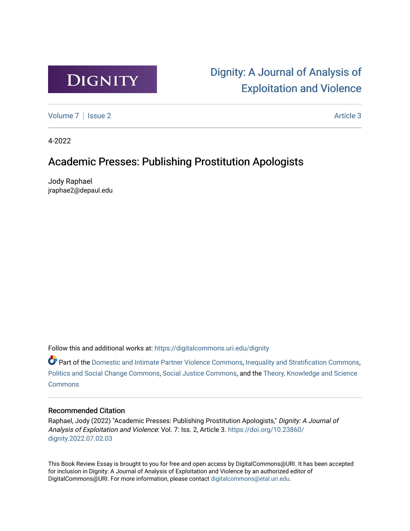

# [Dignity: A Journal of Analysis of](https://digitalcommons.uri.edu/dignity)  [Exploitation and Violence](https://digitalcommons.uri.edu/dignity)

[Volume 7](https://digitalcommons.uri.edu/dignity/vol7) | [Issue 2](https://digitalcommons.uri.edu/dignity/vol7/iss2) Article 3

4-2022

## Academic Presses: Publishing Prostitution Apologists

Jody Raphael jraphae2@depaul.edu

Follow this and additional works at: [https://digitalcommons.uri.edu/dignity](https://digitalcommons.uri.edu/dignity?utm_source=digitalcommons.uri.edu%2Fdignity%2Fvol7%2Fiss2%2F3&utm_medium=PDF&utm_campaign=PDFCoverPages) 

 $\bullet$  Part of the [Domestic and Intimate Partner Violence Commons](http://network.bepress.com/hgg/discipline/1309?utm_source=digitalcommons.uri.edu%2Fdignity%2Fvol7%2Fiss2%2F3&utm_medium=PDF&utm_campaign=PDFCoverPages), [Inequality and Stratification Commons,](http://network.bepress.com/hgg/discipline/421?utm_source=digitalcommons.uri.edu%2Fdignity%2Fvol7%2Fiss2%2F3&utm_medium=PDF&utm_campaign=PDFCoverPages) [Politics and Social Change Commons,](http://network.bepress.com/hgg/discipline/425?utm_source=digitalcommons.uri.edu%2Fdignity%2Fvol7%2Fiss2%2F3&utm_medium=PDF&utm_campaign=PDFCoverPages) [Social Justice Commons,](http://network.bepress.com/hgg/discipline/1432?utm_source=digitalcommons.uri.edu%2Fdignity%2Fvol7%2Fiss2%2F3&utm_medium=PDF&utm_campaign=PDFCoverPages) and the [Theory, Knowledge and Science](http://network.bepress.com/hgg/discipline/432?utm_source=digitalcommons.uri.edu%2Fdignity%2Fvol7%2Fiss2%2F3&utm_medium=PDF&utm_campaign=PDFCoverPages)  **[Commons](http://network.bepress.com/hgg/discipline/432?utm_source=digitalcommons.uri.edu%2Fdignity%2Fvol7%2Fiss2%2F3&utm_medium=PDF&utm_campaign=PDFCoverPages)** 

## Recommended Citation

Raphael, Jody (2022) "Academic Presses: Publishing Prostitution Apologists," Dignity: A Journal of Analysis of Exploitation and Violence: Vol. 7: Iss. 2, Article 3. [https://doi.org/10.23860/](https://doi.org/10.23860/dignity.2022.07.02.03) [dignity.2022.07.02.03](https://doi.org/10.23860/dignity.2022.07.02.03) 

This Book Review Essay is brought to you for free and open access by DigitalCommons@URI. It has been accepted for inclusion in Dignity: A Journal of Analysis of Exploitation and Violence by an authorized editor of DigitalCommons@URI. For more information, please contact [digitalcommons@etal.uri.edu.](mailto:digitalcommons@etal.uri.edu)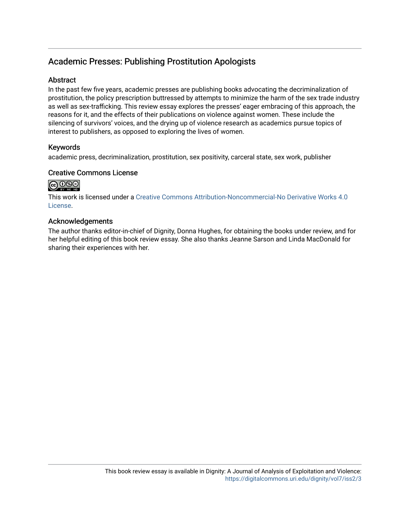## Academic Presses: Publishing Prostitution Apologists

## **Abstract**

In the past few five years, academic presses are publishing books advocating the decriminalization of prostitution, the policy prescription buttressed by attempts to minimize the harm of the sex trade industry as well as sex-trafficking. This review essay explores the presses' eager embracing of this approach, the reasons for it, and the effects of their publications on violence against women. These include the silencing of survivors' voices, and the drying up of violence research as academics pursue topics of interest to publishers, as opposed to exploring the lives of women.

## Keywords

academic press, decriminalization, prostitution, sex positivity, carceral state, sex work, publisher

## Creative Commons License



This work is licensed under a [Creative Commons Attribution-Noncommercial-No Derivative Works 4.0](https://creativecommons.org/licenses/by-nc-nd/4.0/) [License](https://creativecommons.org/licenses/by-nc-nd/4.0/).

## Acknowledgements

The author thanks editor-in-chief of Dignity, Donna Hughes, for obtaining the books under review, and for her helpful editing of this book review essay. She also thanks Jeanne Sarson and Linda MacDonald for sharing their experiences with her.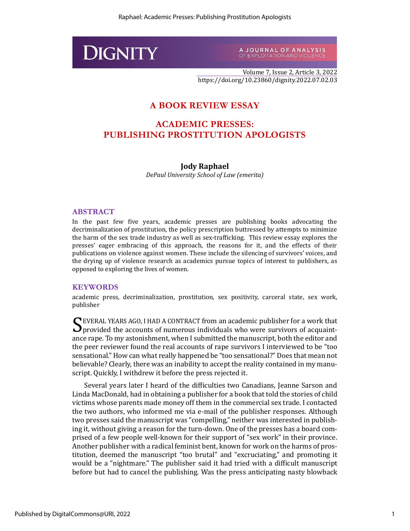

A JOURNAL OF ANALYSIS<br>OFEXPLOITATION AND VIOLENCE

Volume 7, Issue 2, Article 3, 2022 https://doi.org/10.23860/dignity.2022.07.02.03

## **A BOOK REVIEW ESSAY**

## **ACADEMIC PRESSES: PUBLISHING PROSTITUTION APOLOGISTS**

#### **Jody Raphael**

*DePaul University School of Law (emerita)*

#### **ABSTRACT**

In the past few five years, academic presses are publishing books advocating the decriminalization of prostitution, the policy prescription buttressed by attempts to minimize the harm of the sex trade industry as well as sex-trafficking. This review essay explores the presses' eager embracing of this approach, the reasons for it, and the effects of their publications on violence against women. These include the silencing of survivors' voices, and the drying up of violence research as academics pursue topics of interest to publishers, as opposed to exploring the lives of women.

#### **KEYWORDS**

academic press, decriminalization, prostitution, sex positivity, carceral state, sex work, publisher

EVERAL YEARS AGO, I HAD A CONTRACT from an academic publisher for a work that SEVERAL YEARS AGO, I HAD A CONTRACT from an academic publisher for a work that Sprovided the accounts of numerous individuals who were survivors of acquaintance rape. To my astonishment, when I submitted the manuscript, both the editor and the peer reviewer found the real accounts of rape survivors I interviewed to be "too sensational." How can what really happened be "too sensational?" Does that mean not believable? Clearly, there was an inability to accept the reality contained in my manuscript. Quickly, I withdrew it before the press rejected it.

Several years later I heard of the difficulties two Canadians, Jeanne Sarson and Linda MacDonald, had in obtaining a publisher for a book that told the stories of child victims whose parents made money off them in the commercial sex trade. I contacted the two authors, who informed me via e-mail of the publisher responses. Although two presses said the manuscript was "compelling," neither was interested in publishing it, without giving a reason for the turn-down. One of the presses has a board comprised of a few people well-known for their support of "sex work" in their province. Another publisher with a radical feminist bent, known for work on the harms of prostitution, deemed the manuscript "too brutal" and "excruciating," and promoting it would be a "nightmare." The publisher said it had tried with a difficult manuscript before but had to cancel the publishing. Was the press anticipating nasty blowback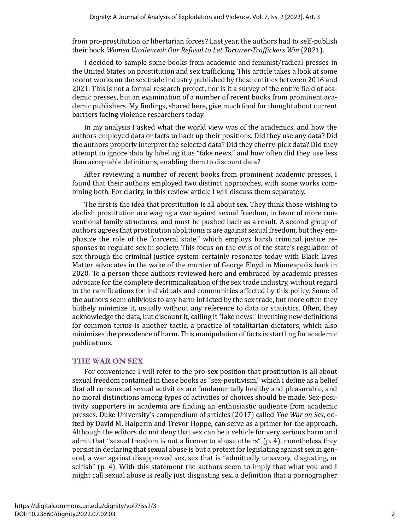from pro-prostitution or libertarian forces? Last year, the authors had to self-publish their book *Women Unsilenced: Our Refusal to Let Torturer-Traffickers Win* (2021).

I decided to sample some books from academic and feminist/radical presses in the United States on prostitution and sex trafficking. This article takes a look at some recent works on the sex trade industry published by these entities between 2016 and 2021. This is not a formal research project, nor is it a survey of the entire field of academic presses, but an examination of a number of recent books from prominent academic publishers. My findings, shared here, give much food for thought about current barriers facing violence researchers today.

In my analysis I asked what the world view was of the academics, and how the authors employed data or facts to back up their positions. Did they use any data? Did the authors properly interpret the selected data? Did they cherry-pick data? Did they attempt to ignore data by labeling it as "fake news," and how often did they use less than acceptable definitions, enabling them to discount data?

After reviewing a number of recent books from prominent academic presses, I found that their authors employed two distinct approaches, with some works combining both. For clarity, in this review article I will discuss them separately.

The first is the idea that prostitution is all about sex. They think those wishing to abolish prostitution are waging a war against sexual freedom, in favor of more conventional family structures, and must be pushed back as a result. A second group of authors agrees that prostitution abolitionists are against sexual freedom, but they emphasize the role of the "carceral state," which employs harsh criminal justice responses to regulate sex in society. This focus on the evils of the state's regulation of sex through the criminal justice system certainly resonates today with Black Lives Matter advocates in the wake of the murder of George Floyd in Minneapolis back in 2020. To a person these authors reviewed here and embraced by academic presses advocate for the complete decriminalization of the sex trade industry, without regard to the ramifications for individuals and communities affected by this policy. Some of the authors seem oblivious to any harm inflicted by the sex trade, but more often they blithely minimize it, usually without any reference to data or statistics. Often, they acknowledge the data, but discount it, calling it "fake news." Inventing new definitions for common terms is another tactic, a practice of totalitarian dictators, which also minimizes the prevalence of harm. This manipulation of facts is startling for academic publications.

#### **THE WAR ON SEX**

For convenience I will refer to the pro-sex position that prostitution is all about sexual freedom contained in these books as "sex-positivism," which I define as a belief that all consensual sexual activities are fundamentally healthy and pleasurable, and no moral distinctions among types of activities or choices should be made. Sex-positivity supporters in academia are finding an enthusiastic audience from academic presses. Duke University's compendium of articles (2017) called *The War on Sex*, edited by David M. Halperin and Trevor Hoppe, can serve as a primer for the approach. Although the editors do not deny that sex can be a vehicle for very serious harm and admit that "sexual freedom is not a license to abuse others" (p. 4), nonetheless they persist in declaring that sexual abuse is but a pretext for legislating against sex in general, a war against disapproved sex, sex that is "admittedly unsavory, disgusting, or selfish" (p. 4). With this statement the authors seem to imply that what you and I might call sexual abuse is really just disgusting sex, a definition that a pornographer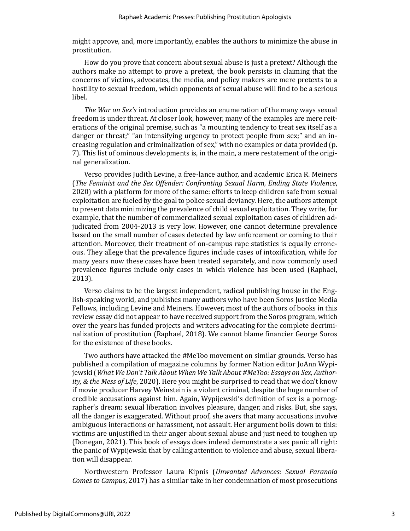might approve, and, more importantly, enables the authors to minimize the abuse in prostitution.

How do you prove that concern about sexual abuse is just a pretext? Although the authors make no attempt to prove a pretext, the book persists in claiming that the concerns of victims, advocates, the media, and policy makers are mere pretexts to a hostility to sexual freedom, which opponents of sexual abuse will find to be a serious libel.

*The War on Sex's* introduction provides an enumeration of the many ways sexual freedom is under threat. At closer look, however, many of the examples are mere reiterations of the original premise, such as "a mounting tendency to treat sex itself as a danger or threat;" "an intensifying urgency to protect people from sex;" and an increasing regulation and criminalization of sex," with no examples or data provided (p. 7). This list of ominous developments is, in the main, a mere restatement of the original generalization.

Verso provides Judith Levine, a free-lance author, and academic Erica R. Meiners (*The Feminist and the Sex Offender: Confronting Sexual Harm, Ending State Violence*, 2020) with a platform for more of the same: efforts to keep children safe from sexual exploitation are fueled by the goal to police sexual deviancy. Here, the authors attempt to present data minimizing the prevalence of child sexual exploitation. They write, for example, that the number of commercialized sexual exploitation cases of children adjudicated from 2004-2013 is very low. However, one cannot determine prevalence based on the small number of cases detected by law enforcement or coming to their attention. Moreover, their treatment of on-campus rape statistics is equally erroneous. They allege that the prevalence figures include cases of intoxification, while for many years now these cases have been treated separately, and now commonly used prevalence figures include only cases in which violence has been used (Raphael, 2013).

Verso claims to be the largest independent, radical publishing house in the English-speaking world, and publishes many authors who have been Soros Justice Media Fellows, including Levine and Meiners. However, most of the authors of books in this review essay did not appear to have received support from the Soros program, which over the years has funded projects and writers advocating for the complete decriminalization of prostitution (Raphael, 2018). We cannot blame financier George Soros for the existence of these books.

Two authors have attacked the #MeToo movement on similar grounds. Verso has published a compilation of magazine columns by former Nation editor JoAnn Wypijewski (*What We Don't Talk About When We Talk About #MeToo: Essays on Sex, Authority, & the Mess of Life*, 2020). Here you might be surprised to read that we don't know if movie producer Harvey Weinstein is a violent criminal, despite the huge number of credible accusations against him. Again, Wypijewski's definition of sex is a pornographer's dream: sexual liberation involves pleasure, danger, and risks. But, she says, all the danger is exaggerated. Without proof, she avers that many accusations involve ambiguous interactions or harassment, not assault. Her argument boils down to this: victims are unjustified in their anger about sexual abuse and just need to toughen up (Donegan, 2021). This book of essays does indeed demonstrate a sex panic all right: the panic of Wypijewski that by calling attention to violence and abuse, sexual liberation will disappear.

Northwestern Professor Laura Kipnis (*Unwanted Advances: Sexual Paranoia Comes to Campus*, 2017) has a similar take in her condemnation of most prosecutions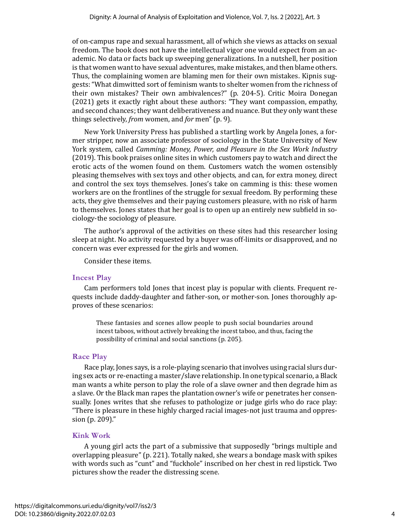of on-campus rape and sexual harassment, all of which she views as attacks on sexual freedom. The book does not have the intellectual vigor one would expect from an academic. No data or facts back up sweeping generalizations. In a nutshell, her position is that women want to have sexual adventures, make mistakes, and then blame others. Thus, the complaining women are blaming men for their own mistakes. Kipnis suggests: "What dimwitted sort of feminism wants to shelter women from the richness of their own mistakes? Their own ambivalences?" (p. 204-5). Critic Moira Donegan (2021) gets it exactly right about these authors: "They want compassion, empathy, and second chances; they want deliberativeness and nuance. But they only want these things selectively, *from* women, and *for* men" (p. 9).

New York University Press has published a startling work by Angela Jones, a former stripper, now an associate professor of sociology in the State University of New York system, called *Camming: Money, Power, and Pleasure in the Sex Work Industry* (2019). This book praises online sites in which customers pay to watch and direct the erotic acts of the women found on them. Customers watch the women ostensibly pleasing themselves with sex toys and other objects, and can, for extra money, direct and control the sex toys themselves. Jones's take on camming is this: these women workers are on the frontlines of the struggle for sexual freedom. By performing these acts, they give themselves and their paying customers pleasure, with no risk of harm to themselves. Jones states that her goal is to open up an entirely new subfield in sociology-the sociology of pleasure.

The author's approval of the activities on these sites had this researcher losing sleep at night. No activity requested by a buyer was off-limits or disapproved, and no concern was ever expressed for the girls and women.

Consider these items.

## **Incest Play**

Cam performers told Jones that incest play is popular with clients. Frequent requests include daddy-daughter and father-son, or mother-son. Jones thoroughly approves of these scenarios:

These fantasies and scenes allow people to push social boundaries around incest taboos, without actively breaking the incest taboo, and thus, facing the possibility of criminal and social sanctions (p. 205).

## **Race Play**

Race play, Jones says, is a role-playing scenario that involves using racial slurs during sex acts or re-enacting a master/slave relationship. In one typical scenario, a Black man wants a white person to play the role of a slave owner and then degrade him as a slave. Or the Black man rapes the plantation owner's wife or penetrates her consensually. Jones writes that she refuses to pathologize or judge girls who do race play: "There is pleasure in these highly charged racial images-not just trauma and oppression (p. 209)."

## **Kink Work**

A young girl acts the part of a submissive that supposedly "brings multiple and overlapping pleasure" (p. 221). Totally naked, she wears a bondage mask with spikes with words such as "cunt" and "fuckhole" inscribed on her chest in red lipstick. Two pictures show the reader the distressing scene.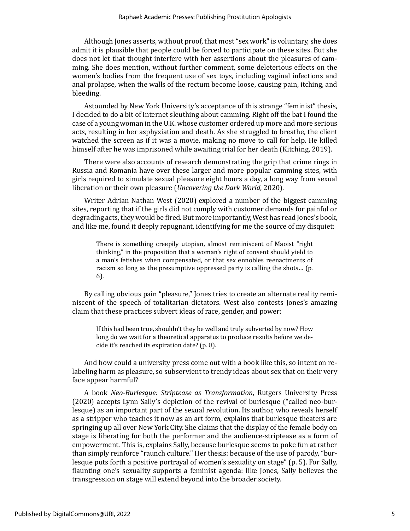Although Jones asserts, without proof, that most "sex work" is voluntary, she does admit it is plausible that people could be forced to participate on these sites. But she does not let that thought interfere with her assertions about the pleasures of camming. She does mention, without further comment, some deleterious effects on the women's bodies from the frequent use of sex toys, including vaginal infections and anal prolapse, when the walls of the rectum become loose, causing pain, itching, and bleeding.

Astounded by New York University's acceptance of this strange "feminist" thesis, I decided to do a bit of Internet sleuthing about camming. Right off the bat I found the case of a young woman in the U.K. whose customer ordered up more and more serious acts, resulting in her asphyxiation and death. As she struggled to breathe, the client watched the screen as if it was a movie, making no move to call for help. He killed himself after he was imprisoned while awaiting trial for her death (Kitching, 2019).

There were also accounts of research demonstrating the grip that crime rings in Russia and Romania have over these larger and more popular camming sites, with girls required to simulate sexual pleasure eight hours a day, a long way from sexual liberation or their own pleasure (*Uncovering the Dark World*, 2020).

Writer Adrian Nathan West (2020) explored a number of the biggest camming sites, reporting that if the girls did not comply with customer demands for painful or degrading acts, they would be fired. But more importantly, West has read Jones's book, and like me, found it deeply repugnant, identifying for me the source of my disquiet:

There is something creepily utopian, almost reminiscent of Maoist "right thinking," in the proposition that a woman's right of consent should yield to a man's fetishes when compensated, or that sex ennobles reenactments of racism so long as the presumptive oppressed party is calling the shots… (p. 6).

By calling obvious pain "pleasure," Jones tries to create an alternate reality reminiscent of the speech of totalitarian dictators. West also contests Jones's amazing claim that these practices subvert ideas of race, gender, and power:

If this had been true, shouldn't they be well and truly subverted by now? How long do we wait for a theoretical apparatus to produce results before we decide it's reached its expiration date? (p. 8).

And how could a university press come out with a book like this, so intent on relabeling harm as pleasure, so subservient to trendy ideas about sex that on their very face appear harmful?

A book *Neo-Burlesque: Striptease as Transformation*, Rutgers University Press (2020) accepts Lynn Sally's depiction of the revival of burlesque ("called neo-burlesque) as an important part of the sexual revolution. Its author, who reveals herself as a stripper who teaches it now as an art form, explains that burlesque theaters are springing up all over New York City. She claims that the display of the female body on stage is liberating for both the performer and the audience-striptease as a form of empowerment. This is, explains Sally, because burlesque seems to poke fun at rather than simply reinforce "raunch culture." Her thesis: because of the use of parody, "burlesque puts forth a positive portrayal of women's sexuality on stage" (p. 5). For Sally, flaunting one's sexuality supports a feminist agenda: like Jones, Sally believes the transgression on stage will extend beyond into the broader society.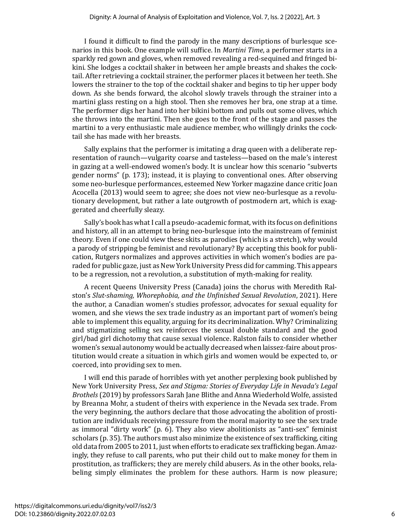I found it difficult to find the parody in the many descriptions of burlesque scenarios in this book. One example will suffice. In *Martini Time*, a performer starts in a sparkly red gown and gloves, when removed revealing a red-sequined and fringed bikini. She lodges a cocktail shaker in between her ample breasts and shakes the cocktail. After retrieving a cocktail strainer, the performer places it between her teeth. She lowers the strainer to the top of the cocktail shaker and begins to tip her upper body down. As she bends forward, the alcohol slowly travels through the strainer into a martini glass resting on a high stool. Then she removes her bra, one strap at a time. The performer digs her hand into her bikini bottom and pulls out some olives, which she throws into the martini. Then she goes to the front of the stage and passes the martini to a very enthusiastic male audience member, who willingly drinks the cocktail she has made with her breasts.

Sally explains that the performer is imitating a drag queen with a deliberate representation of raunch—vulgarity coarse and tasteless—based on the male's interest in gazing at a well-endowed women's body. It is unclear how this scenario "subverts gender norms" (p. 173); instead, it is playing to conventional ones. After observing some neo-burlesque performances, esteemed New Yorker magazine dance critic Joan Acocella (2013) would seem to agree; she does not view neo-burlesque as a revolutionary development, but rather a late outgrowth of postmodern art, which is exaggerated and cheerfully sleazy.

Sally's book has what I call a pseudo-academic format, with its focus on definitions and history, all in an attempt to bring neo-burlesque into the mainstream of feminist theory. Even if one could view these skits as parodies (which is a stretch), why would a parody of stripping be feminist and revolutionary? By accepting this book for publication, Rutgers normalizes and approves activities in which women's bodies are paraded for public gaze, just as New York University Press did for camming. This appears to be a regression, not a revolution, a substitution of myth-making for reality.

A recent Queens University Press (Canada) joins the chorus with Meredith Ralston's *Slut-shaming, Whorephobia, and the Unfinished Sexual Revolution*, 2021). Here the author, a Canadian women's studies professor, advocates for sexual equality for women, and she views the sex trade industry as an important part of women's being able to implement this equality, arguing for its decriminalization. Why? Criminalizing and stigmatizing selling sex reinforces the sexual double standard and the good girl/bad girl dichotomy that cause sexual violence. Ralston fails to consider whether women's sexual autonomy would be actually decreased when laissez-faire about prostitution would create a situation in which girls and women would be expected to, or coerced, into providing sex to men.

I will end this parade of horribles with yet another perplexing book published by New York University Press, *Sex and Stigma: Stories of Everyday Life in Nevada's Legal Brothels* (2019) by professors Sarah Jane Blithe and Anna Wiederhold Wolfe, assisted by Breanna Mohr, a student of theirs with experience in the Nevada sex trade. From the very beginning, the authors declare that those advocating the abolition of prostitution are individuals receiving pressure from the moral majority to see the sex trade as immoral "dirty work" (p. 6). They also view abolitionists as "anti-sex" feminist scholars (p. 35). The authors must also minimize the existence of sex trafficking, citing old data from 2005 to 2011, just when efforts to eradicate sex trafficking began. Amazingly, they refuse to call parents, who put their child out to make money for them in prostitution, as traffickers; they are merely child abusers. As in the other books, relabeling simply eliminates the problem for these authors. Harm is now pleasure;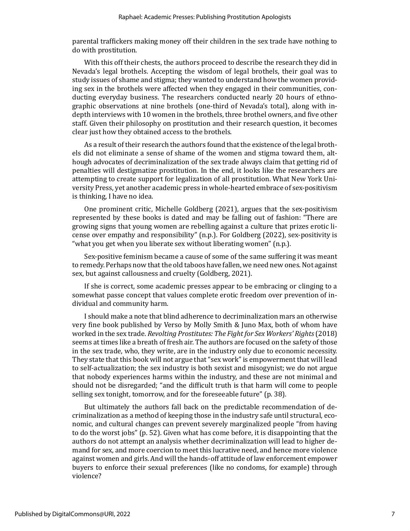parental traffickers making money off their children in the sex trade have nothing to do with prostitution.

With this off their chests, the authors proceed to describe the research they did in Nevada's legal brothels. Accepting the wisdom of legal brothels, their goal was to study issues of shame and stigma; they wanted to understand how the women providing sex in the brothels were affected when they engaged in their communities, conducting everyday business. The researchers conducted nearly 20 hours of ethnographic observations at nine brothels (one-third of Nevada's total), along with indepth interviews with 10 women in the brothels, three brothel owners, and five other staff. Given their philosophy on prostitution and their research question, it becomes clear just how they obtained access to the brothels.

As a result of their research the authors found that the existence of the legal brothels did not eliminate a sense of shame of the women and stigma toward them, although advocates of decriminalization of the sex trade always claim that getting rid of penalties will destigmatize prostitution. In the end, it looks like the researchers are attempting to create support for legalization of all prostitution. What New York University Press, yet another academic press in whole-hearted embrace of sex-positivism is thinking, I have no idea.

One prominent critic, Michelle Goldberg (2021), argues that the sex-positivism represented by these books is dated and may be falling out of fashion: "There are growing signs that young women are rebelling against a culture that prizes erotic license over empathy and responsibility" (n.p.). For Goldberg (2022), sex-positivity is "what you get when you liberate sex without liberating women" (n.p.).

Sex-positive feminism became a cause of some of the same suffering it was meant to remedy. Perhaps now that the old taboos have fallen, we need new ones. Not against sex, but against callousness and cruelty (Goldberg, 2021).

If she is correct, some academic presses appear to be embracing or clinging to a somewhat passe concept that values complete erotic freedom over prevention of individual and community harm.

I should make a note that blind adherence to decriminalization mars an otherwise very fine book published by Verso by Molly Smith & Juno Max, both of whom have worked in the sex trade. *Revolting Prostitutes: The Fight for Sex Workers' Rights*(2018) seems at times like a breath of fresh air. The authors are focused on the safety of those in the sex trade, who, they write, are in the industry only due to economic necessity. They state that this book will not argue that "sex work" is empowerment that will lead to self-actualization; the sex industry is both sexist and misogynist; we do not argue that nobody experiences harms within the industry, and these are not minimal and should not be disregarded; "and the difficult truth is that harm will come to people selling sex tonight, tomorrow, and for the foreseeable future" (p. 38).

But ultimately the authors fall back on the predictable recommendation of decriminalization as a method of keeping those in the industry safe until structural, economic, and cultural changes can prevent severely marginalized people "from having to do the worst jobs" (p. 52). Given what has come before, it is disappointing that the authors do not attempt an analysis whether decriminalization will lead to higher demand for sex, and more coercion to meet this lucrative need, and hence more violence against women and girls. And will the hands-off attitude of law enforcement empower buyers to enforce their sexual preferences (like no condoms, for example) through violence?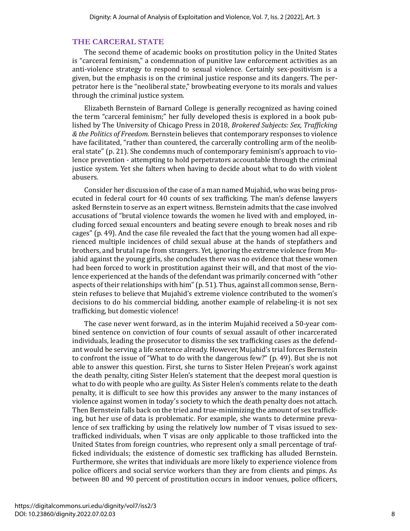#### **THE CARCERAL STATE**

The second theme of academic books on prostitution policy in the United States is "carceral feminism," a condemnation of punitive law enforcement activities as an anti-violence strategy to respond to sexual violence. Certainly sex-positivism is a given, but the emphasis is on the criminal justice response and its dangers. The perpetrator here is the "neoliberal state," browbeating everyone to its morals and values through the criminal justice system.

Elizabeth Bernstein of Barnard College is generally recognized as having coined the term "carceral feminism;" her fully developed thesis is explored in a book published by The University of Chicago Press in 2018, *Brokered Subjects: Sex, Trafficking & the Politics of Freedom.* Bernstein believes that contemporary responses to violence have facilitated, "rather than countered, the carcerally controlling arm of the neoliberal state" (p. 21). She condemns much of contemporary feminism's approach to violence prevention - attempting to hold perpetrators accountable through the criminal justice system. Yet she falters when having to decide about what to do with violent abusers.

Consider her discussion of the case of a man named Mujahid, who was being prosecuted in federal court for 40 counts of sex trafficking. The man's defense lawyers asked Bernstein to serve as an expert witness. Bernstein admits that the case involved accusations of "brutal violence towards the women he lived with and employed, including forced sexual encounters and beating severe enough to break noses and rib cages" (p. 49). And the case file revealed the fact that the young women had all experienced multiple incidences of child sexual abuse at the hands of stepfathers and brothers, and brutal rape from strangers. Yet, ignoring the extreme violence from Mujahid against the young girls, she concludes there was no evidence that these women had been forced to work in prostitution against their will, and that most of the violence experienced at the hands of the defendant was primarily concerned with "other aspects of their relationships with him" (p. 51). Thus, against all common sense, Bernstein refuses to believe that Mujahid's extreme violence contributed to the women's decisions to do his commercial bidding, another example of relabeling-it is not sex trafficking, but domestic violence!

The case never went forward, as in the interim Mujahid received a 50-year combined sentence on conviction of four counts of sexual assault of other incarcerated individuals, leading the prosecutor to dismiss the sex trafficking cases as the defendant would be serving a life sentence already. However, Mujahid's trial forces Bernstein to confront the issue of "What to do with the dangerous few?" (p. 49). But she is not able to answer this question. First, she turns to Sister Helen Prejean's work against the death penalty, citing Sister Helen's statement that the deepest moral question is what to do with people who are guilty. As Sister Helen's comments relate to the death penalty, it is difficult to see how this provides any answer to the many instances of violence against women in today's society to which the death penalty does not attach. Then Bernstein falls back on the tried and true-minimizing the amount of sex trafficking, but her use of data is problematic. For example, she wants to determine prevalence of sex trafficking by using the relatively low number of T visas issued to sextrafficked individuals, when T visas are only applicable to those trafficked into the United States from foreign countries, who represent only a small percentage of trafficked individuals; the existence of domestic sex trafficking has alluded Bernstein. Furthermore, she writes that individuals are more likely to experience violence from police officers and social service workers than they are from clients and pimps. As between 80 and 90 percent of prostitution occurs in indoor venues, police officers,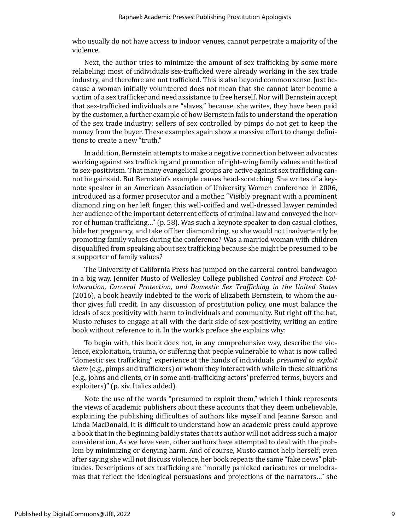who usually do not have access to indoor venues, cannot perpetrate a majority of the violence.

Next, the author tries to minimize the amount of sex trafficking by some more relabeling: most of individuals sex-trafficked were already working in the sex trade industry, and therefore are not trafficked. This is also beyond common sense. Just because a woman initially volunteered does not mean that she cannot later become a victim of a sex trafficker and need assistance to free herself. Nor will Bernstein accept that sex-trafficked individuals are "slaves," because, she writes, they have been paid by the customer, a further example of how Bernstein fails to understand the operation of the sex trade industry; sellers of sex controlled by pimps do not get to keep the money from the buyer. These examples again show a massive effort to change definitions to create a new "truth."

In addition, Bernstein attempts to make a negative connection between advocates working against sex trafficking and promotion of right-wing family values antithetical to sex-positivism. That many evangelical groups are active against sex trafficking cannot be gainsaid. But Bernstein's example causes head-scratching. She writes of a keynote speaker in an American Association of University Women conference in 2006, introduced as a former prosecutor and a mother. "Visibly pregnant with a prominent diamond ring on her left finger, this well-coiffed and well-dressed lawyer reminded her audience of the important deterrent effects of criminal law and conveyed the horror of human trafficking…" (p. 58). Was such a keynote speaker to don casual clothes, hide her pregnancy, and take off her diamond ring, so she would not inadvertently be promoting family values during the conference? Was a married woman with children disqualified from speaking about sex trafficking because she might be presumed to be a supporter of family values?

The University of California Press has jumped on the carceral control bandwagon in a big way. Jennifer Musto of Wellesley College published *Control and Protect: Collaboration, Carceral Protection, and Domestic Sex Trafficking in the United States* (2016), a book heavily indebted to the work of Elizabeth Bernstein, to whom the author gives full credit. In any discussion of prostitution policy, one must balance the ideals of sex positivity with harm to individuals and community. But right off the bat, Musto refuses to engage at all with the dark side of sex-positivity, writing an entire book without reference to it. In the work's preface she explains why:

To begin with, this book does not, in any comprehensive way, describe the violence, exploitation, trauma, or suffering that people vulnerable to what is now called "domestic sex trafficking" experience at the hands of individuals *presumed to exploit them* (e.g., pimps and traffickers) or whom they interact with while in these situations (e.g., johns and clients, or in some anti-trafficking actors' preferred terms, buyers and exploiters)" (p. xiv. Italics added).

Note the use of the words "presumed to exploit them," which I think represents the views of academic publishers about these accounts that they deem unbelievable, explaining the publishing difficulties of authors like myself and Jeanne Sarson and Linda MacDonald. It is difficult to understand how an academic press could approve a book that in the beginning baldly states that its author will not address such a major consideration. As we have seen, other authors have attempted to deal with the problem by minimizing or denying harm. And of course, Musto cannot help herself; even after saying she will not discuss violence, her book repeats the same "fake news" platitudes. Descriptions of sex trafficking are "morally panicked caricatures or melodramas that reflect the ideological persuasions and projections of the narrators…" she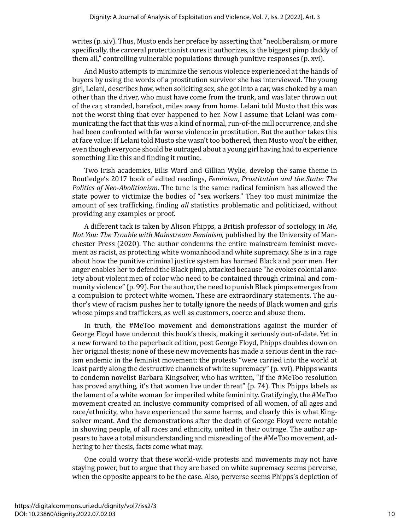writes (p. xiv). Thus, Musto ends her preface by asserting that "neoliberalism, or more specifically, the carceral protectionist cures it authorizes, is the biggest pimp daddy of them all," controlling vulnerable populations through punitive responses (p. xvi).

And Musto attempts to minimize the serious violence experienced at the hands of buyers by using the words of a prostitution survivor she has interviewed. The young girl, Lelani, describes how, when soliciting sex, she got into a car, was choked by a man other than the driver, who must have come from the trunk, and was later thrown out of the car, stranded, barefoot, miles away from home. Lelani told Musto that this was not the worst thing that ever happened to her. Now I assume that Lelani was communicating the fact that this was a kind of normal, run-of-the mill occurrence, and she had been confronted with far worse violence in prostitution. But the author takes this at face value: If Lelani told Musto she wasn't too bothered, then Musto won't be either, even though everyone should be outraged about a young girl having had to experience something like this and finding it routine.

Two Irish academics, Eilis Ward and Gillian Wylie, develop the same theme in Routledge's 2017 book of edited readings, *Feminism, Prostitution and the State: The Politics of Neo-Abolitionism*. The tune is the same: radical feminism has allowed the state power to victimize the bodies of "sex workers." They too must minimize the amount of sex trafficking, finding *all* statistics problematic and politicized, without providing any examples or proof.

A different tack is taken by Alison Phipps, a British professor of sociology, in *Me, Not You: The Trouble with Mainstream Feminism,* published by the University of Manchester Press (2020). The author condemns the entire mainstream feminist movement as racist, as protecting white womanhood and white supremacy. She is in a rage about how the punitive criminal justice system has harmed Black and poor men. Her anger enables her to defend the Black pimp, attacked because "he evokes colonial anxiety about violent men of color who need to be contained through criminal and community violence" (p. 99). For the author, the need to punish Black pimps emerges from a compulsion to protect white women. These are extraordinary statements. The author's view of racism pushes her to totally ignore the needs of Black women and girls whose pimps and traffickers, as well as customers, coerce and abuse them.

In truth, the #MeToo movement and demonstrations against the murder of George Floyd have undercut this book's thesis, making it seriously out-of-date. Yet in a new forward to the paperback edition, post George Floyd, Phipps doubles down on her original thesis; none of these new movements has made a serious dent in the racism endemic in the feminist movement: the protests "were carried into the world at least partly along the destructive channels of white supremacy" (p. xvi). Phipps wants to condemn novelist Barbara Kingsolver, who has written, "If the #MeToo resolution has proved anything, it's that women live under threat" (p. 74). This Phipps labels as the lament of a white woman for imperiled white femininity. Gratifyingly, the #MeToo movement created an inclusive community comprised of all women, of all ages and race/ethnicity, who have experienced the same harms, and clearly this is what Kingsolver meant. And the demonstrations after the death of George Floyd were notable in showing people, of all races and ethnicity, united in their outrage. The author appears to have a total misunderstanding and misreading of the #MeToo movement, adhering to her thesis, facts come what may.

One could worry that these world-wide protests and movements may not have staying power, but to argue that they are based on white supremacy seems perverse, when the opposite appears to be the case. Also, perverse seems Phipps's depiction of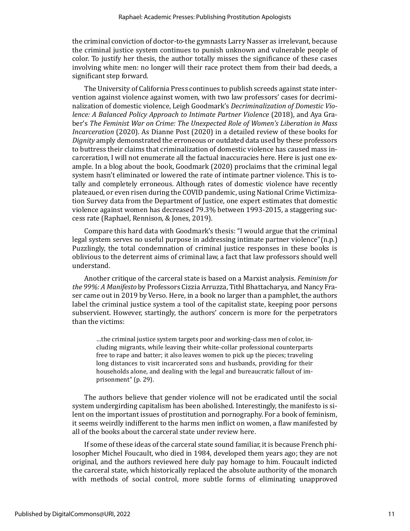the criminal conviction of doctor-to-the gymnasts Larry Nasser as irrelevant, because the criminal justice system continues to punish unknown and vulnerable people of color. To justify her thesis, the author totally misses the significance of these cases involving white men: no longer will their race protect them from their bad deeds, a significant step forward.

The University of California Press continues to publish screeds against state intervention against violence against women, with two law professors' cases for decriminalization of domestic violence, Leigh Goodmark's *Decriminalization of Domestic Violence: A Balanced Policy Approach to Intimate Partner Violence* (2018), and Aya Graber's *The Feminist War on Crime: The Unexpected Role of Women's Liberation in Mass Incarceration* (2020). As Dianne Post (2020) in a detailed review of these books for *Dignity* amply demonstrated the erroneous or outdated data used by these professors to buttress their claims that criminalization of domestic violence has caused mass incarceration, I will not enumerate all the factual inaccuracies here. Here is just one example. In a blog about the book, Goodmark (2020) proclaims that the criminal legal system hasn't eliminated or lowered the rate of intimate partner violence. This is totally and completely erroneous. Although rates of domestic violence have recently plateaued, or even risen during the COVID pandemic, using National Crime Victimization Survey data from the Department of Justice, one expert estimates that domestic violence against women has decreased 79.3% between 1993-2015, a staggering success rate (Raphael, Rennison, & Jones, 2019).

Compare this hard data with Goodmark's thesis: "I would argue that the criminal legal system serves no useful purpose in addressing intimate partner violence"(n.p.) Puzzlingly, the total condemnation of criminal justice responses in these books is oblivious to the deterrent aims of criminal law, a fact that law professors should well understand.

Another critique of the carceral state is based on a Marxist analysis. *Feminism for the 99%: A Manifesto* by Professors Cizzia Arruzza, Tithl Bhattacharya, and Nancy Fraser came out in 2019 by Verso. Here, in a book no larger than a pamphlet, the authors label the criminal justice system a tool of the capitalist state, keeping poor persons subservient. However, startingly, the authors' concern is more for the perpetrators than the victims:

…the criminal justice system targets poor and working-class men of color, including migrants, while leaving their white-collar professional counterparts free to rape and batter; it also leaves women to pick up the pieces; traveling long distances to visit incarcerated sons and husbands, providing for their households alone, and dealing with the legal and bureaucratic fallout of imprisonment" (p. 29).

The authors believe that gender violence will not be eradicated until the social system undergirding capitalism has been abolished. Interestingly, the manifesto is silent on the important issues of prostitution and pornography. For a book of feminism, it seems weirdly indifferent to the harms men inflict on women, a flaw manifested by all of the books about the carceral state under review here.

If some of these ideas of the carceral state sound familiar, it is because French philosopher Michel Foucault, who died in 1984, developed them years ago; they are not original, and the authors reviewed here duly pay homage to him. Foucault indicted the carceral state, which historically replaced the absolute authority of the monarch with methods of social control, more subtle forms of eliminating unapproved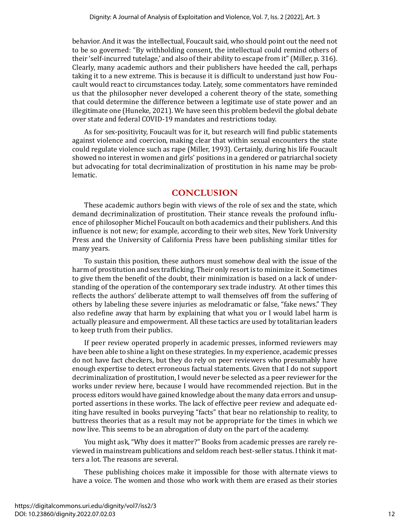behavior. And it was the intellectual, Foucault said, who should point out the need not to be so governed: "By withholding consent, the intellectual could remind others of their 'self-incurred tutelage,' and also of their ability to escape from it" (Miller, p. 316). Clearly, many academic authors and their publishers have heeded the call, perhaps taking it to a new extreme. This is because it is difficult to understand just how Foucault would react to circumstances today. Lately, some commentators have reminded us that the philosopher never developed a coherent theory of the state, something that could determine the difference between a legitimate use of state power and an illegitimate one (Huneke, 2021). We have seen this problem bedevil the global debate over state and federal COVID-19 mandates and restrictions today.

As for sex-positivity, Foucault was for it, but research will find public statements against violence and coercion, making clear that within sexual encounters the state could regulate violence such as rape (Miller, 1993). Certainly, during his life Foucault showed no interest in women and girls' positions in a gendered or patriarchal society but advocating for total decriminalization of prostitution in his name may be problematic.

## **CONCLUSION**

These academic authors begin with views of the role of sex and the state, which demand decriminalization of prostitution. Their stance reveals the profound influence of philosopher Michel Foucault on both academics and their publishers. And this influence is not new; for example, according to their web sites, New York University Press and the University of California Press have been publishing similar titles for many years.

To sustain this position, these authors must somehow deal with the issue of the harm of prostitution and sex trafficking. Their only resort is to minimize it. Sometimes to give them the benefit of the doubt, their minimization is based on a lack of understanding of the operation of the contemporary sex trade industry. At other times this reflects the authors' deliberate attempt to wall themselves off from the suffering of others by labeling these severe injuries as melodramatic or false, "fake news." They also redefine away that harm by explaining that what you or I would label harm is actually pleasure and empowerment. All these tactics are used by totalitarian leaders to keep truth from their publics.

If peer review operated properly in academic presses, informed reviewers may have been able to shine a light on these strategies. In my experience, academic presses do not have fact checkers, but they do rely on peer reviewers who presumably have enough expertise to detect erroneous factual statements. Given that I do not support decriminalization of prostitution, I would never be selected as a peer reviewer for the works under review here, because I would have recommended rejection. But in the process editors would have gained knowledge about the many data errors and unsupported assertions in these works. The lack of effective peer review and adequate editing have resulted in books purveying "facts" that bear no relationship to reality, to buttress theories that as a result may not be appropriate for the times in which we now live. This seems to be an abrogation of duty on the part of the academy.

You might ask, "Why does it matter?" Books from academic presses are rarely reviewed in mainstream publications and seldom reach best-seller status. I think it matters a lot. The reasons are several.

These publishing choices make it impossible for those with alternate views to have a voice. The women and those who work with them are erased as their stories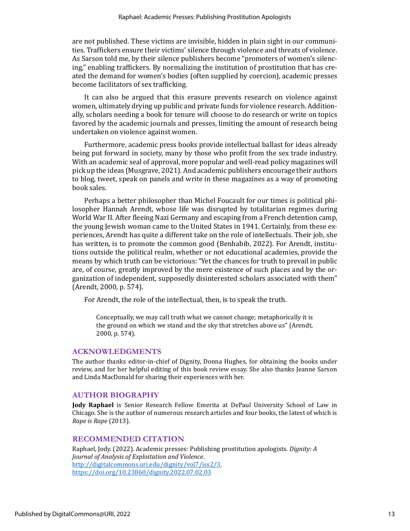are not published. These victims are invisible, hidden in plain sight in our communities. Traffickers ensure their victims' silence through violence and threats of violence. As Sarson told me, by their silence publishers become "promoters of women's silencing," enabling traffickers. By normalizing the institution of prostitution that has created the demand for women's bodies (often supplied by coercion), academic presses become facilitators of sex trafficking.

It can also be argued that this erasure prevents research on violence against women, ultimately drying up public and private funds for violence research. Additionally, scholars needing a book for tenure will choose to do research or write on topics favored by the academic journals and presses, limiting the amount of research being undertaken on violence against women.

Furthermore, academic press books provide intellectual ballast for ideas already being put forward in society, many by those who profit from the sex trade industry. With an academic seal of approval, more popular and well-read policy magazines will pick up the ideas (Musgrave, 2021). And academic publishers encourage their authors to blog, tweet, speak on panels and write in these magazines as a way of promoting book sales.

Perhaps a better philosopher than Michel Foucault for our times is political philosopher Hannah Arendt, whose life was disrupted by totalitarian regimes during World War II. After fleeing Nazi Germany and escaping from a French detention camp, the young Jewish woman came to the United States in 1941. Certainly, from these experiences, Arendt has quite a different take on the role of intellectuals. Their job, she has written, is to promote the common good (Benhabib, 2022). For Arendt, institutions outside the political realm, whether or not educational academies, provide the means by which truth can be victorious: "Yet the chances for truth to prevail in public are, of course, greatly improved by the mere existence of such places and by the organization of independent, supposedly disinterested scholars associated with them" (Arendt, 2000, p. 574).

For Arendt, the role of the intellectual, then, is to speak the truth.

Conceptually, we may call truth what we cannot change; metaphorically it is the ground on which we stand and the sky that stretches above us" (Arendt, 2000, p. 574).

## **ACKNOWLEDGMENTS**

The author thanks editor-in-chief of Dignity, Donna Hughes, for obtaining the books under review, and for her helpful editing of this book review essay. She also thanks Jeanne Sarson and Linda MacDonald for sharing their experiences with her.

#### **AUTHOR BIOGRAPHY**

**Jody Raphael** is Senior Research Fellow Emerita at DePaul University School of Law in Chicago. She is the author of numerous research articles and four books, the latest of which is *Rape is Rape* (2013).

#### **RECOMMENDED CITATION**

Raphael, Jody. (2022). Academic presses: Publishing prostitution apologists. *Dignity: A Journal of Analysis of Exploitation and Violence*. [http://digitalcommons.uri.edu/dignity/vol7/iss2/3.](http://digitalcommons.uri.edu/dignity/vol7/iss2/3) <https://doi.org/10.23860/dignity.2022.07.02.03>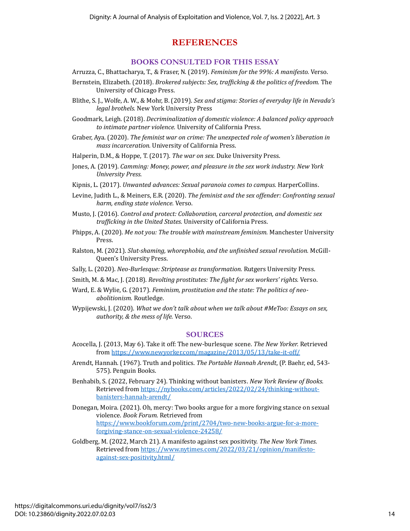## **REFERENCES**

## **BOOKS CONSULTED FOR THIS ESSAY**

- Arruzza, C., Bhattacharya, T., & Fraser, N. (2019). *Feminism for the 99%: A manifesto.* Verso.
- Bernstein, Elizabeth. (2018). *Brokered subjects: Sex, trafficking & the politics of freedom.* The University of Chicago Press.
- Blithe, S. J., Wolfe, A. W., & Mohr, B. (2019). *Sex and stigma: Stories of everyday life in Nevada's legal brothels.* New York University Press
- Goodmark, Leigh. (2018). *Decriminalization of domestic violence: A balanced policy approach to intimate partner violence.* University of California Press.
- Graber, Aya. (2020). *The feminist war on crime: The unexpected role of women's liberation in mass incarceration.* University of California Press.
- Halperin, D.M., & Hoppe, T. (2017). *The war on sex.* Duke University Press.
- Jones, A. (2019). *Camming: Money, power, and pleasure in the sex work industry. New York University Press.*
- Kipnis, L. (2017). *Unwanted advances: Sexual paranoia comes to campus.* HarperCollins.
- Levine, Judith L., & Meiners, E.R. (2020). *The feminist and the sex offender: Confronting sexual harm, ending state violence.* Verso.
- Musto, J. (2016). *Control and protect: Collaboration, carceral protection, and domestic sex trafficking in the United States.* University of California Press.
- Phipps, A. (2020). *Me not you: The trouble with mainstream feminism.* Manchester University Press.
- Ralston, M. (2021). *Slut-shaming, whorephobia, and the unfinished sexual revolution.* McGill-Queen's University Press.
- Sally, L. (2020). *Neo-Burlesque: Striptease as transformation.* Rutgers University Press.
- Smith, M. & Mac, J. (2018). *Revolting prostitutes: The fight for sex workers' rights.* Verso.
- Ward, E. & Wylie, G. (2017). *Feminism, prostitution and the state: The politics of neoabolitionism.* Routledge.
- Wypijewski, J. (2020). *What we don't talk about when we talk about #MeToo: Essays on sex, authority, & the mess of life.* Verso.

#### **SOURCES**

- Acocella, J. (2013, May 6). Take it off: The new-burlesque scene. *The New Yorker.* Retrieved from<https://www.newyorker.com/magazine/2013/05/13/take-it-off/>
- Arendt, Hannah. (1967). Truth and politics. *The Portable Hannah Arendt*, (P. Baehr, ed, 543- 575). Penguin Books.
- Benhabib, S. (2022, February 24). Thinking without banisters. *New York Review of Books.* Retrieved from [https://nybooks.com/articles/2022/02/24/thinking-without](https://nybooks.com/articles/2022/02/24/thinking-without-banisters-hannah-arendt/)[banisters-hannah-arendt/](https://nybooks.com/articles/2022/02/24/thinking-without-banisters-hannah-arendt/)
- Donegan, Moira. (2021). Oh, mercy: Two books argue for a more forgiving stance on sexual violence. *Book Forum.* Retrieved from [https://www.bookforum.com/print/2704/two-new-books-argue-for-a-more](https://www.bookforum.com/print/2704/two-new-books-argue-for-a-more-forgiving-stance-on-sexual-violence-24258/)[forgiving-stance-on-sexual-violence-24258/](https://www.bookforum.com/print/2704/two-new-books-argue-for-a-more-forgiving-stance-on-sexual-violence-24258/)
- Goldberg, M. (2022, March 21). A manifesto against sex positivity. *The New York Times.* Retrieved from [https://www.nytimes.com/2022/03/21/opinion/manifesto](https://www.nytimes.com/2022/03/21/opinion/manifesto-against-sex-positivity.html/)[against-sex-positivity.html/](https://www.nytimes.com/2022/03/21/opinion/manifesto-against-sex-positivity.html/)